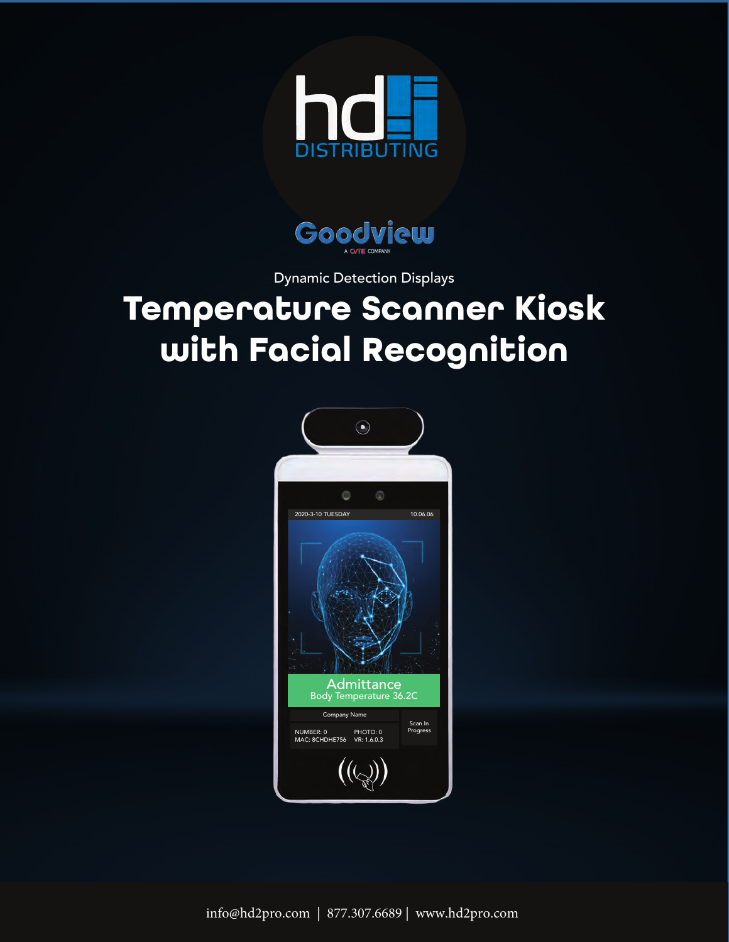



Dynamic Detection Displays

## **Temperature Scanner Kiosk with Facial Recognition**



info@hd2pro.com | 877.307.6689 | www.hd2pro.com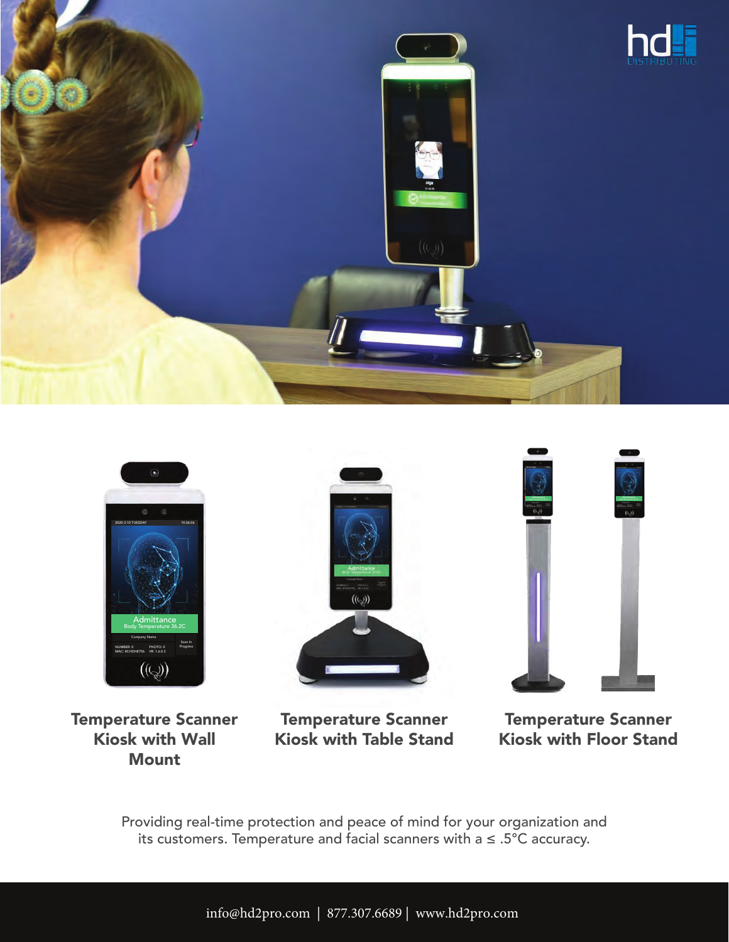



Temperature Scanner Kiosk with Wall **Mount** 

Temperature Scanner Kiosk with Table Stand

Temperature Scanner Kiosk with Floor Stand

Providing real-time protection and peace of mind for your organization and its customers. Temperature and facial scanners with a ≤ .5°C accuracy.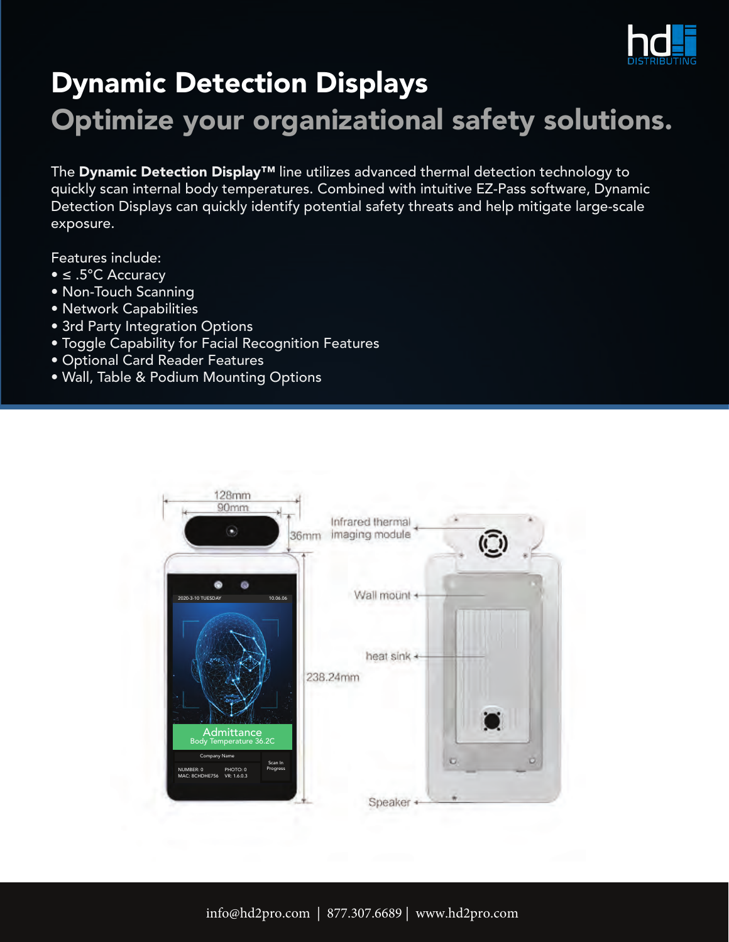

## Dynamic Detection Displays Optimize your organizational safety solutions.

The Dynamic Detection Display™ line utilizes advanced thermal detection technology to quickly scan internal body temperatures. Combined with intuitive EZ-Pass software, Dynamic Detection Displays can quickly identify potential safety threats and help mitigate large-scale exposure.

Features include:

- ≤ .5°C Accuracy
- Non-Touch Scanning
- Network Capabilities
- 3rd Party Integration Options
- Toggle Capability for Facial Recognition Features
- Optional Card Reader Features
- Wall, Table & Podium Mounting Options